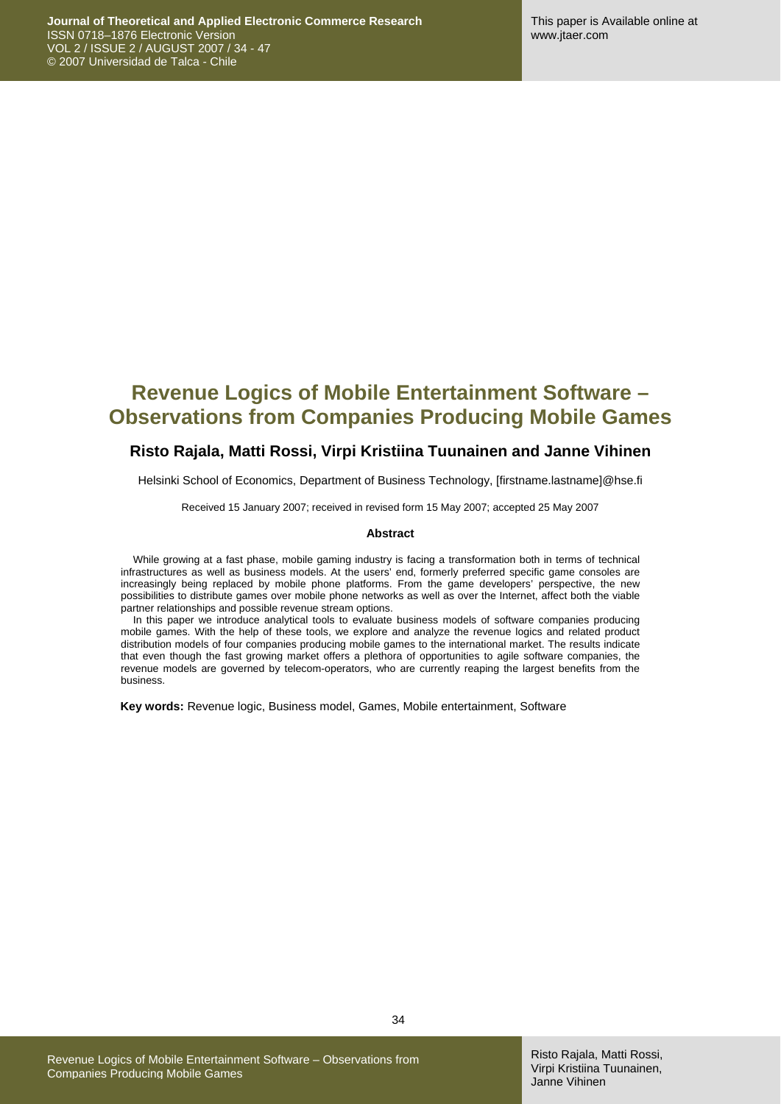## **Revenue Logics of Mobile Entertainment Software – Observations from Companies Producing Mobile Games**

#### **Risto Rajala, Matti Rossi, Virpi Kristiina Tuunainen and Janne Vihinen**

Helsinki School of Economics, Department of Business Technology, [firstname.lastname]@hse.fi

Received 15 January 2007; received in revised form 15 May 2007; accepted 25 May 2007

#### **Abstract**

While growing at a fast phase, mobile gaming industry is facing a transformation both in terms of technical infrastructures as well as business models. At the users' end, formerly preferred specific game consoles are increasingly being replaced by mobile phone platforms. From the game developers' perspective, the new possibilities to distribute games over mobile phone networks as well as over the Internet, affect both the viable partner relationships and possible revenue stream options.

In this paper we introduce analytical tools to evaluate business models of software companies producing mobile games. With the help of these tools, we explore and analyze the revenue logics and related product distribution models of four companies producing mobile games to the international market. The results indicate that even though the fast growing market offers a plethora of opportunities to agile software companies, the revenue models are governed by telecom-operators, who are currently reaping the largest benefits from the business.

**Key words:** Revenue logic, Business model, Games, Mobile entertainment, Software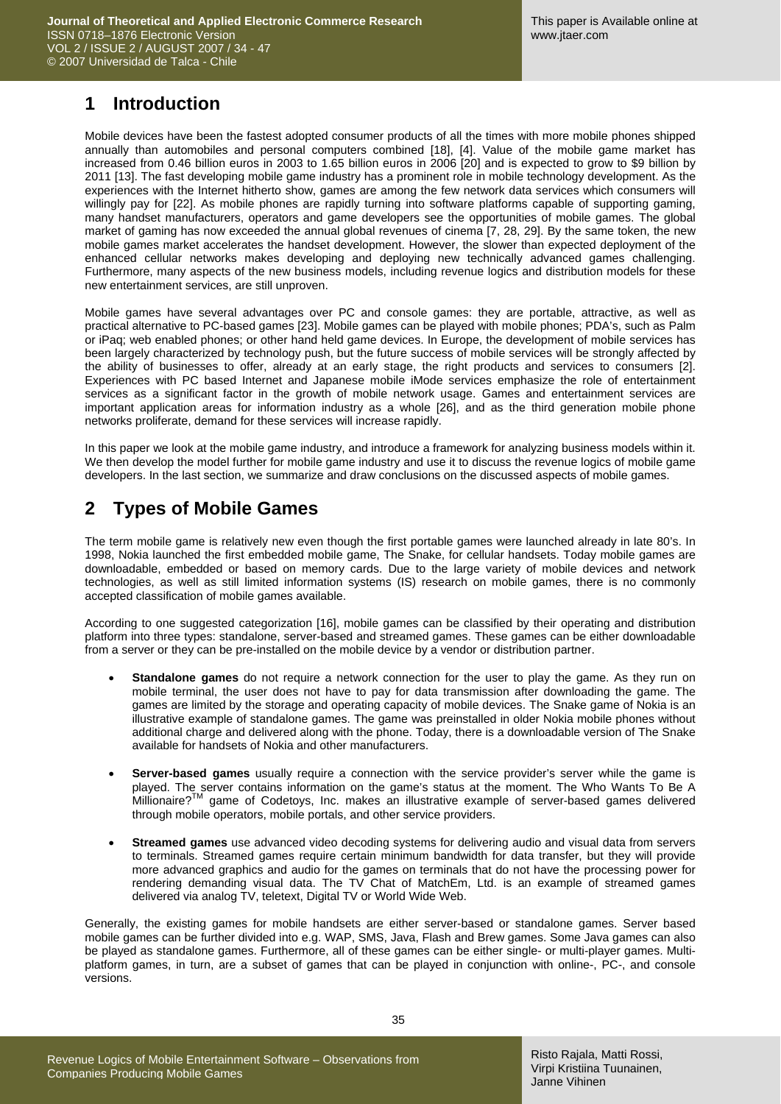### **1 Introduction**

Mobile devices have been the fastest adopted consumer products of all the times with more mobile phones shipped annually than automobiles and personal computers combined [18], [4]. Value of the mobile game market has increased from 0.46 billion euros in 2003 to 1.65 billion euros in 2006 [20] and is expected to grow to \$9 billion by 2011 [13]. The fast developing mobile game industry has a prominent role in mobile technology development. As the experiences with the Internet hitherto show, games are among the few network data services which consumers will willingly pay for [22]. As mobile phones are rapidly turning into software platforms capable of supporting gaming, many handset manufacturers, operators and game developers see the opportunities of mobile games. The global market of gaming has now exceeded the annual global revenues of cinema [7, 28, 29]. By the same token, the new mobile games market accelerates the handset development. However, the slower than expected deployment of the enhanced cellular networks makes developing and deploying new technically advanced games challenging. Furthermore, many aspects of the new business models, including revenue logics and distribution models for these new entertainment services, are still unproven.

Mobile games have several advantages over PC and console games: they are portable, attractive, as well as practical alternative to PC-based games [23]. Mobile games can be played with mobile phones; PDA's, such as Palm or iPaq; web enabled phones; or other hand held game devices. In Europe, the development of mobile services has been largely characterized by technology push, but the future success of mobile services will be strongly affected by the ability of businesses to offer, already at an early stage, the right products and services to consumers [2]. Experiences with PC based Internet and Japanese mobile iMode services emphasize the role of entertainment services as a significant factor in the growth of mobile network usage. Games and entertainment services are important application areas for information industry as a whole [26], and as the third generation mobile phone networks proliferate, demand for these services will increase rapidly.

In this paper we look at the mobile game industry, and introduce a framework for analyzing business models within it. We then develop the model further for mobile game industry and use it to discuss the revenue logics of mobile game developers. In the last section, we summarize and draw conclusions on the discussed aspects of mobile games.

## **2 Types of Mobile Games**

The term mobile game is relatively new even though the first portable games were launched already in late 80's. In 1998, Nokia launched the first embedded mobile game, The Snake, for cellular handsets. Today mobile games are downloadable, embedded or based on memory cards. Due to the large variety of mobile devices and network technologies, as well as still limited information systems (IS) research on mobile games, there is no commonly accepted classification of mobile games available.

According to one suggested categorization [16], mobile games can be classified by their operating and distribution platform into three types: standalone, server-based and streamed games. These games can be either downloadable from a server or they can be pre-installed on the mobile device by a vendor or distribution partner.

- **Standalone games** do not require a network connection for the user to play the game. As they run on mobile terminal, the user does not have to pay for data transmission after downloading the game. The games are limited by the storage and operating capacity of mobile devices. The Snake game of Nokia is an illustrative example of standalone games. The game was preinstalled in older Nokia mobile phones without additional charge and delivered along with the phone. Today, there is a downloadable version of The Snake available for handsets of Nokia and other manufacturers.
- **Server-based games** usually require a connection with the service provider's server while the game is played. The server contains information on the game's status at the moment. The Who Wants To Be A .<br>Millionaire?<sup>™</sup> game of Codetoys, Inc. makes an illustrative example of server-based games delivered through mobile operators, mobile portals, and other service providers.
- **Streamed games** use advanced video decoding systems for delivering audio and visual data from servers to terminals. Streamed games require certain minimum bandwidth for data transfer, but they will provide more advanced graphics and audio for the games on terminals that do not have the processing power for rendering demanding visual data. The TV Chat of MatchEm, Ltd. is an example of streamed games delivered via analog TV, teletext, Digital TV or World Wide Web.

Generally, the existing games for mobile handsets are either server-based or standalone games. Server based mobile games can be further divided into e.g. WAP, SMS, Java, Flash and Brew games. Some Java games can also be played as standalone games. Furthermore, all of these games can be either single- or multi-player games. Multiplatform games, in turn, are a subset of games that can be played in conjunction with online-, PC-, and console versions.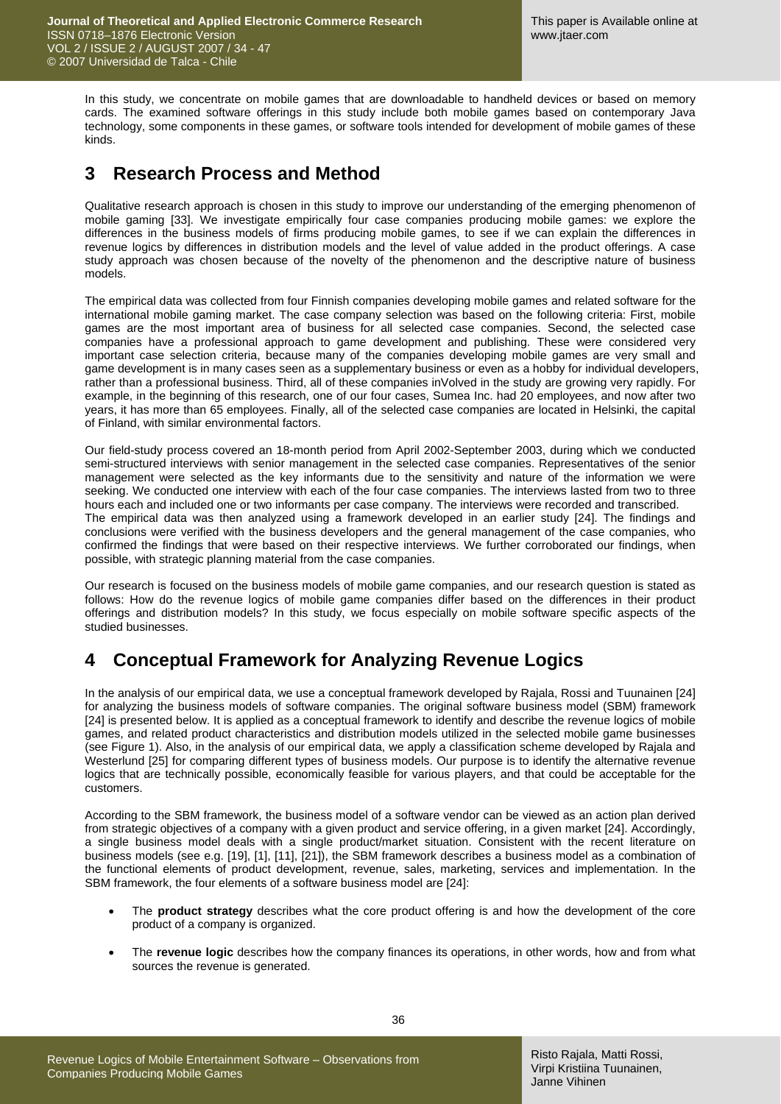In this study, we concentrate on mobile games that are downloadable to handheld devices or based on memory cards. The examined software offerings in this study include both mobile games based on contemporary Java technology, some components in these games, or software tools intended for development of mobile games of these kinds.

### **3 Research Process and Method**

Qualitative research approach is chosen in this study to improve our understanding of the emerging phenomenon of mobile gaming [33]. We investigate empirically four case companies producing mobile games: we explore the differences in the business models of firms producing mobile games, to see if we can explain the differences in revenue logics by differences in distribution models and the level of value added in the product offerings. A case study approach was chosen because of the novelty of the phenomenon and the descriptive nature of business models.

The empirical data was collected from four Finnish companies developing mobile games and related software for the international mobile gaming market. The case company selection was based on the following criteria: First, mobile games are the most important area of business for all selected case companies. Second, the selected case companies have a professional approach to game development and publishing. These were considered very important case selection criteria, because many of the companies developing mobile games are very small and game development is in many cases seen as a supplementary business or even as a hobby for individual developers, rather than a professional business. Third, all of these companies inVolved in the study are growing very rapidly. For example, in the beginning of this research, one of our four cases, Sumea Inc. had 20 employees, and now after two years, it has more than 65 employees. Finally, all of the selected case companies are located in Helsinki, the capital of Finland, with similar environmental factors.

Our field-study process covered an 18-month period from April 2002-September 2003, during which we conducted semi-structured interviews with senior management in the selected case companies. Representatives of the senior management were selected as the key informants due to the sensitivity and nature of the information we were seeking. We conducted one interview with each of the four case companies. The interviews lasted from two to three hours each and included one or two informants per case company. The interviews were recorded and transcribed. The empirical data was then analyzed using a framework developed in an earlier study [24]. The findings and conclusions were verified with the business developers and the general management of the case companies, who confirmed the findings that were based on their respective interviews. We further corroborated our findings, when possible, with strategic planning material from the case companies.

Our research is focused on the business models of mobile game companies, and our research question is stated as follows: How do the revenue logics of mobile game companies differ based on the differences in their product offerings and distribution models? In this study, we focus especially on mobile software specific aspects of the studied businesses.

## **4 Conceptual Framework for Analyzing Revenue Logics**

In the analysis of our empirical data, we use a conceptual framework developed by Rajala, Rossi and Tuunainen [24] for analyzing the business models of software companies. The original software business model (SBM) framework [24] is presented below. It is applied as a conceptual framework to identify and describe the revenue logics of mobile games, and related product characteristics and distribution models utilized in the selected mobile game businesses (see Figure 1). Also, in the analysis of our empirical data, we apply a classification scheme developed by Rajala and Westerlund [25] for comparing different types of business models. Our purpose is to identify the alternative revenue logics that are technically possible, economically feasible for various players, and that could be acceptable for the customers.

According to the SBM framework, the business model of a software vendor can be viewed as an action plan derived from strategic objectives of a company with a given product and service offering, in a given market [24]. Accordingly, a single business model deals with a single product/market situation. Consistent with the recent literature on business models (see e.g. [19], [1], [11], [21]), the SBM framework describes a business model as a combination of the functional elements of product development, revenue, sales, marketing, services and implementation. In the SBM framework, the four elements of a software business model are [24]:

- The **product strategy** describes what the core product offering is and how the development of the core product of a company is organized.
- The **revenue logic** describes how the company finances its operations, in other words, how and from what sources the revenue is generated.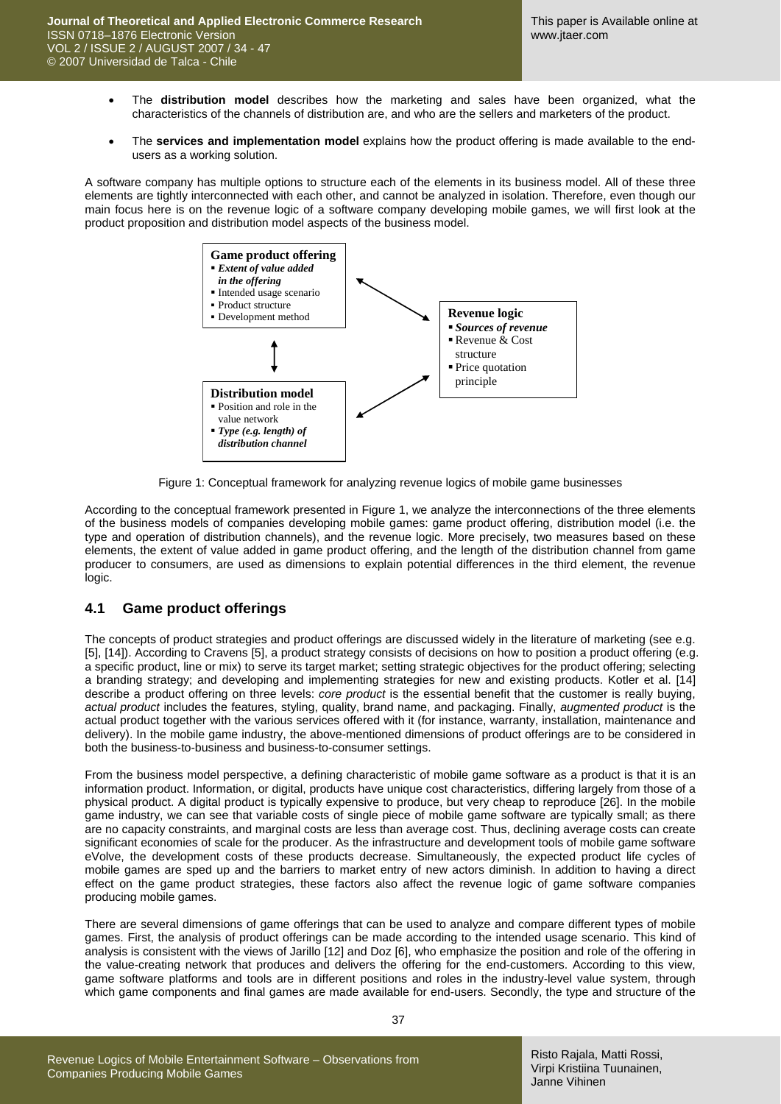- The **distribution model** describes how the marketing and sales have been organized, what the characteristics of the channels of distribution are, and who are the sellers and marketers of the product.
- The **services and implementation model** explains how the product offering is made available to the endusers as a working solution.

A software company has multiple options to structure each of the elements in its business model. All of these three elements are tightly interconnected with each other, and cannot be analyzed in isolation. Therefore, even though our main focus here is on the revenue logic of a software company developing mobile games, we will first look at the product proposition and distribution model aspects of the business model.



Figure 1: Conceptual framework for analyzing revenue logics of mobile game businesses

According to the conceptual framework presented in Figure 1, we analyze the interconnections of the three elements of the business models of companies developing mobile games: game product offering, distribution model (i.e. the type and operation of distribution channels), and the revenue logic. More precisely, two measures based on these elements, the extent of value added in game product offering, and the length of the distribution channel from game producer to consumers, are used as dimensions to explain potential differences in the third element, the revenue logic.

### **4.1 Game product offerings**

The concepts of product strategies and product offerings are discussed widely in the literature of marketing (see e.g. [5], [14]). According to Cravens [5], a product strategy consists of decisions on how to position a product offering (e.g. a specific product, line or mix) to serve its target market; setting strategic objectives for the product offering; selecting a branding strategy; and developing and implementing strategies for new and existing products. Kotler et al. [14] describe a product offering on three levels: *core product* is the essential benefit that the customer is really buying, *actual product* includes the features, styling, quality, brand name, and packaging. Finally, *augmented product* is the actual product together with the various services offered with it (for instance, warranty, installation, maintenance and delivery). In the mobile game industry, the above-mentioned dimensions of product offerings are to be considered in both the business-to-business and business-to-consumer settings.

From the business model perspective, a defining characteristic of mobile game software as a product is that it is an information product. Information, or digital, products have unique cost characteristics, differing largely from those of a physical product. A digital product is typically expensive to produce, but very cheap to reproduce [26]. In the mobile game industry, we can see that variable costs of single piece of mobile game software are typically small; as there are no capacity constraints, and marginal costs are less than average cost. Thus, declining average costs can create significant economies of scale for the producer. As the infrastructure and development tools of mobile game software eVolve, the development costs of these products decrease. Simultaneously, the expected product life cycles of mobile games are sped up and the barriers to market entry of new actors diminish. In addition to having a direct effect on the game product strategies, these factors also affect the revenue logic of game software companies producing mobile games.

There are several dimensions of game offerings that can be used to analyze and compare different types of mobile games. First, the analysis of product offerings can be made according to the intended usage scenario. This kind of analysis is consistent with the views of Jarillo [12] and Doz [6], who emphasize the position and role of the offering in the value-creating network that produces and delivers the offering for the end-customers. According to this view, game software platforms and tools are in different positions and roles in the industry-level value system, through which game components and final games are made available for end-users. Secondly, the type and structure of the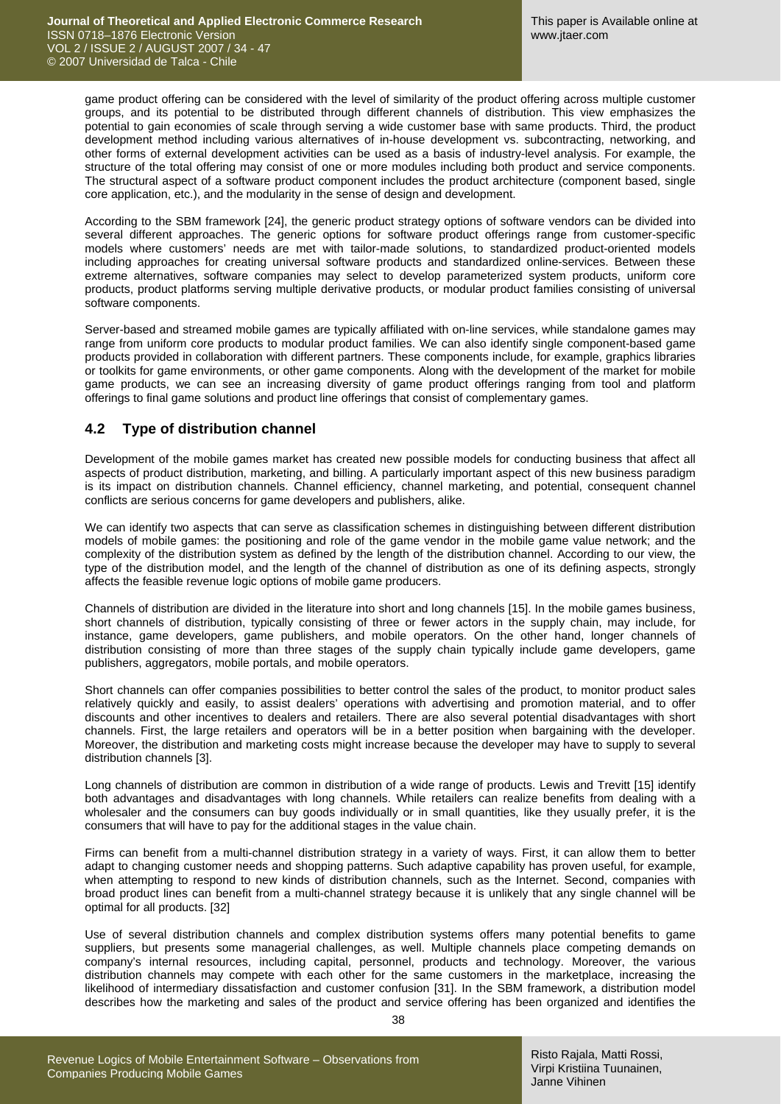game product offering can be considered with the level of similarity of the product offering across multiple customer groups, and its potential to be distributed through different channels of distribution. This view emphasizes the potential to gain economies of scale through serving a wide customer base with same products. Third, the product development method including various alternatives of in-house development vs. subcontracting, networking, and other forms of external development activities can be used as a basis of industry-level analysis. For example, the structure of the total offering may consist of one or more modules including both product and service components. The structural aspect of a software product component includes the product architecture (component based, single core application, etc.), and the modularity in the sense of design and development.

According to the SBM framework [24], the generic product strategy options of software vendors can be divided into several different approaches. The generic options for software product offerings range from customer-specific models where customers' needs are met with tailor-made solutions, to standardized product-oriented models including approaches for creating universal software products and standardized online-services. Between these extreme alternatives, software companies may select to develop parameterized system products, uniform core products, product platforms serving multiple derivative products, or modular product families consisting of universal software components.

Server-based and streamed mobile games are typically affiliated with on-line services, while standalone games may range from uniform core products to modular product families. We can also identify single component-based game products provided in collaboration with different partners. These components include, for example, graphics libraries or toolkits for game environments, or other game components. Along with the development of the market for mobile game products, we can see an increasing diversity of game product offerings ranging from tool and platform offerings to final game solutions and product line offerings that consist of complementary games.

### **4.2 Type of distribution channel**

Development of the mobile games market has created new possible models for conducting business that affect all aspects of product distribution, marketing, and billing. A particularly important aspect of this new business paradigm is its impact on distribution channels. Channel efficiency, channel marketing, and potential, consequent channel conflicts are serious concerns for game developers and publishers, alike.

We can identify two aspects that can serve as classification schemes in distinguishing between different distribution models of mobile games: the positioning and role of the game vendor in the mobile game value network; and the complexity of the distribution system as defined by the length of the distribution channel. According to our view, the type of the distribution model, and the length of the channel of distribution as one of its defining aspects, strongly affects the feasible revenue logic options of mobile game producers.

Channels of distribution are divided in the literature into short and long channels [15]. In the mobile games business, short channels of distribution, typically consisting of three or fewer actors in the supply chain, may include, for instance, game developers, game publishers, and mobile operators. On the other hand, longer channels of distribution consisting of more than three stages of the supply chain typically include game developers, game publishers, aggregators, mobile portals, and mobile operators.

Short channels can offer companies possibilities to better control the sales of the product, to monitor product sales relatively quickly and easily, to assist dealers' operations with advertising and promotion material, and to offer discounts and other incentives to dealers and retailers. There are also several potential disadvantages with short channels. First, the large retailers and operators will be in a better position when bargaining with the developer. Moreover, the distribution and marketing costs might increase because the developer may have to supply to several distribution channels [3].

Long channels of distribution are common in distribution of a wide range of products. Lewis and Trevitt [15] identify both advantages and disadvantages with long channels. While retailers can realize benefits from dealing with a wholesaler and the consumers can buy goods individually or in small quantities, like they usually prefer, it is the consumers that will have to pay for the additional stages in the value chain.

Firms can benefit from a multi-channel distribution strategy in a variety of ways. First, it can allow them to better adapt to changing customer needs and shopping patterns. Such adaptive capability has proven useful, for example, when attempting to respond to new kinds of distribution channels, such as the Internet. Second, companies with broad product lines can benefit from a multi-channel strategy because it is unlikely that any single channel will be optimal for all products. [32]

Use of several distribution channels and complex distribution systems offers many potential benefits to game suppliers, but presents some managerial challenges, as well. Multiple channels place competing demands on company's internal resources, including capital, personnel, products and technology. Moreover, the various distribution channels may compete with each other for the same customers in the marketplace, increasing the likelihood of intermediary dissatisfaction and customer confusion [31]. In the SBM framework, a distribution model describes how the marketing and sales of the product and service offering has been organized and identifies the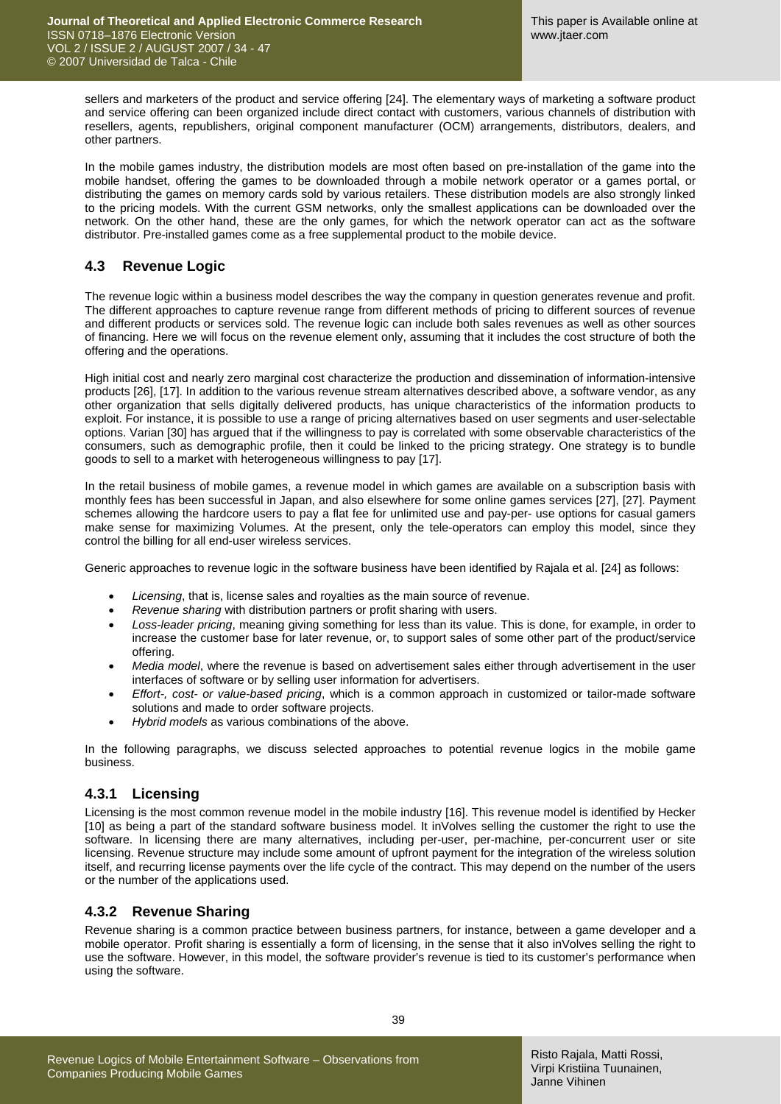sellers and marketers of the product and service offering [24]. The elementary ways of marketing a software product and service offering can been organized include direct contact with customers, various channels of distribution with resellers, agents, republishers, original component manufacturer (OCM) arrangements, distributors, dealers, and other partners.

In the mobile games industry, the distribution models are most often based on pre-installation of the game into the mobile handset, offering the games to be downloaded through a mobile network operator or a games portal, or distributing the games on memory cards sold by various retailers. These distribution models are also strongly linked to the pricing models. With the current GSM networks, only the smallest applications can be downloaded over the network. On the other hand, these are the only games, for which the network operator can act as the software distributor. Pre-installed games come as a free supplemental product to the mobile device.

### **4.3 Revenue Logic**

The revenue logic within a business model describes the way the company in question generates revenue and profit. The different approaches to capture revenue range from different methods of pricing to different sources of revenue and different products or services sold. The revenue logic can include both sales revenues as well as other sources of financing. Here we will focus on the revenue element only, assuming that it includes the cost structure of both the offering and the operations.

High initial cost and nearly zero marginal cost characterize the production and dissemination of information-intensive products [26], [17]. In addition to the various revenue stream alternatives described above, a software vendor, as any other organization that sells digitally delivered products, has unique characteristics of the information products to exploit. For instance, it is possible to use a range of pricing alternatives based on user segments and user-selectable options. Varian [30] has argued that if the willingness to pay is correlated with some observable characteristics of the consumers, such as demographic profile, then it could be linked to the pricing strategy. One strategy is to bundle goods to sell to a market with heterogeneous willingness to pay [17].

In the retail business of mobile games, a revenue model in which games are available on a subscription basis with monthly fees has been successful in Japan, and also elsewhere for some online games services [27], [27]. Payment schemes allowing the hardcore users to pay a flat fee for unlimited use and pay-per- use options for casual gamers make sense for maximizing Volumes. At the present, only the tele-operators can employ this model, since they control the billing for all end-user wireless services.

Generic approaches to revenue logic in the software business have been identified by Rajala et al. [24] as follows:

- *Licensing*, that is, license sales and royalties as the main source of revenue.
- *Revenue sharing* with distribution partners or profit sharing with users.
- *Loss-leader pricing*, meaning giving something for less than its value. This is done, for example, in order to increase the customer base for later revenue, or, to support sales of some other part of the product/service offering.
- *Media model*, where the revenue is based on advertisement sales either through advertisement in the user interfaces of software or by selling user information for advertisers.
- *Effort-, cost- or value-based pricing*, which is a common approach in customized or tailor-made software solutions and made to order software projects.
- *Hybrid models* as various combinations of the above.

In the following paragraphs, we discuss selected approaches to potential revenue logics in the mobile game business.

### **4.3.1 Licensing**

Licensing is the most common revenue model in the mobile industry [16]. This revenue model is identified by Hecker [10] as being a part of the standard software business model. It inVolves selling the customer the right to use the software. In licensing there are many alternatives, including per-user, per-machine, per-concurrent user or site licensing. Revenue structure may include some amount of upfront payment for the integration of the wireless solution itself, and recurring license payments over the life cycle of the contract. This may depend on the number of the users or the number of the applications used.

### **4.3.2 Revenue Sharing**

Revenue sharing is a common practice between business partners, for instance, between a game developer and a mobile operator. Profit sharing is essentially a form of licensing, in the sense that it also inVolves selling the right to use the software. However, in this model, the software provider's revenue is tied to its customer's performance when using the software.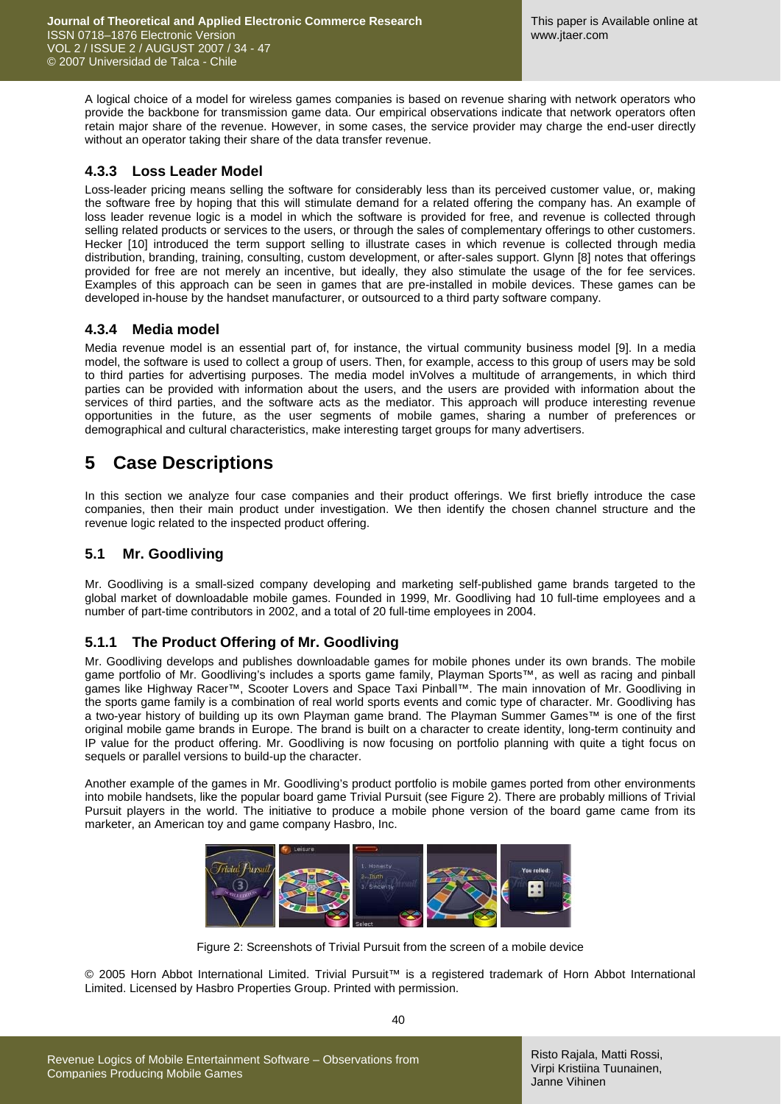A logical choice of a model for wireless games companies is based on revenue sharing with network operators who provide the backbone for transmission game data. Our empirical observations indicate that network operators often retain major share of the revenue. However, in some cases, the service provider may charge the end-user directly without an operator taking their share of the data transfer revenue.

### **4.3.3 Loss Leader Model**

Loss-leader pricing means selling the software for considerably less than its perceived customer value, or, making the software free by hoping that this will stimulate demand for a related offering the company has. An example of loss leader revenue logic is a model in which the software is provided for free, and revenue is collected through selling related products or services to the users, or through the sales of complementary offerings to other customers. Hecker [10] introduced the term support selling to illustrate cases in which revenue is collected through media distribution, branding, training, consulting, custom development, or after-sales support. Glynn [8] notes that offerings provided for free are not merely an incentive, but ideally, they also stimulate the usage of the for fee services. Examples of this approach can be seen in games that are pre-installed in mobile devices. These games can be developed in-house by the handset manufacturer, or outsourced to a third party software company.

#### **4.3.4 Media model**

Media revenue model is an essential part of, for instance, the virtual community business model [9]. In a media model, the software is used to collect a group of users. Then, for example, access to this group of users may be sold to third parties for advertising purposes. The media model inVolves a multitude of arrangements, in which third parties can be provided with information about the users, and the users are provided with information about the services of third parties, and the software acts as the mediator. This approach will produce interesting revenue opportunities in the future, as the user segments of mobile games, sharing a number of preferences or demographical and cultural characteristics, make interesting target groups for many advertisers.

### **5 Case Descriptions**

In this section we analyze four case companies and their product offerings. We first briefly introduce the case companies, then their main product under investigation. We then identify the chosen channel structure and the revenue logic related to the inspected product offering.

#### **5.1 Mr. Goodliving**

Mr. Goodliving is a small-sized company developing and marketing self-published game brands targeted to the global market of downloadable mobile games. Founded in 1999, Mr. Goodliving had 10 full-time employees and a number of part-time contributors in 2002, and a total of 20 full-time employees in 2004.

### **5.1.1 The Product Offering of Mr. Goodliving**

Mr. Goodliving develops and publishes downloadable games for mobile phones under its own brands. The mobile game portfolio of Mr. Goodliving's includes a sports game family, Playman Sports™, as well as racing and pinball games like Highway Racer™, Scooter Lovers and Space Taxi Pinball™. The main innovation of Mr. Goodliving in the sports game family is a combination of real world sports events and comic type of character. Mr. Goodliving has a two-year history of building up its own Playman game brand. The Playman Summer Games™ is one of the first original mobile game brands in Europe. The brand is built on a character to create identity, long-term continuity and IP value for the product offering. Mr. Goodliving is now focusing on portfolio planning with quite a tight focus on sequels or parallel versions to build-up the character.

Another example of the games in Mr. Goodliving's product portfolio is mobile games ported from other environments into mobile handsets, like the popular board game Trivial Pursuit (see Figure 2). There are probably millions of Trivial Pursuit players in the world. The initiative to produce a mobile phone version of the board game came from its marketer, an American toy and game company Hasbro, Inc.



Figure 2: Screenshots of Trivial Pursuit from the screen of a mobile device

© 2005 Horn Abbot International Limited. Trivial Pursuit™ is a registered trademark of Horn Abbot International Limited. Licensed by Hasbro Properties Group. Printed with permission.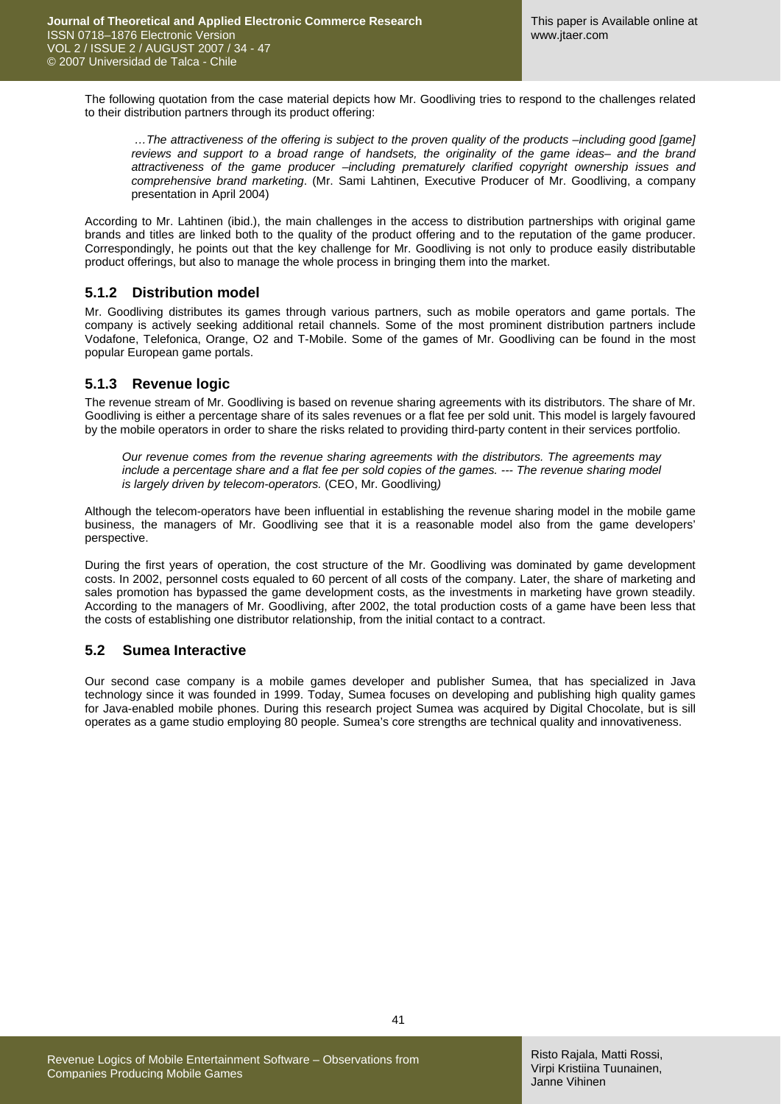The following quotation from the case material depicts how Mr. Goodliving tries to respond to the challenges related to their distribution partners through its product offering:

*…The attractiveness of the offering is subject to the proven quality of the products –including good [game]*  reviews and support to a broad range of handsets, the originality of the game ideas- and the brand *attractiveness of the game producer –including prematurely clarified copyright ownership issues and comprehensive brand marketing*. (Mr. Sami Lahtinen, Executive Producer of Mr. Goodliving, a company presentation in April 2004)

According to Mr. Lahtinen (ibid.), the main challenges in the access to distribution partnerships with original game brands and titles are linked both to the quality of the product offering and to the reputation of the game producer. Correspondingly, he points out that the key challenge for Mr. Goodliving is not only to produce easily distributable product offerings, but also to manage the whole process in bringing them into the market.

#### **5.1.2 Distribution model**

Mr. Goodliving distributes its games through various partners, such as mobile operators and game portals. The company is actively seeking additional retail channels. Some of the most prominent distribution partners include Vodafone, Telefonica, Orange, O2 and T-Mobile. Some of the games of Mr. Goodliving can be found in the most popular European game portals.

#### **5.1.3 Revenue logic**

The revenue stream of Mr. Goodliving is based on revenue sharing agreements with its distributors. The share of Mr. Goodliving is either a percentage share of its sales revenues or a flat fee per sold unit. This model is largely favoured by the mobile operators in order to share the risks related to providing third-party content in their services portfolio.

*Our revenue comes from the revenue sharing agreements with the distributors. The agreements may include a percentage share and a flat fee per sold copies of the games. --- The revenue sharing model is largely driven by telecom-operators.* (CEO, Mr. Goodliving*)* 

Although the telecom-operators have been influential in establishing the revenue sharing model in the mobile game business, the managers of Mr. Goodliving see that it is a reasonable model also from the game developers' perspective.

During the first years of operation, the cost structure of the Mr. Goodliving was dominated by game development costs. In 2002, personnel costs equaled to 60 percent of all costs of the company. Later, the share of marketing and sales promotion has bypassed the game development costs, as the investments in marketing have grown steadily. According to the managers of Mr. Goodliving, after 2002, the total production costs of a game have been less that the costs of establishing one distributor relationship, from the initial contact to a contract.

### **5.2 Sumea Interactive**

Our second case company is a mobile games developer and publisher Sumea, that has specialized in Java technology since it was founded in 1999. Today, Sumea focuses on developing and publishing high quality games for Java-enabled mobile phones. During this research project Sumea was acquired by Digital Chocolate, but is sill operates as a game studio employing 80 people. Sumea's core strengths are technical quality and innovativeness.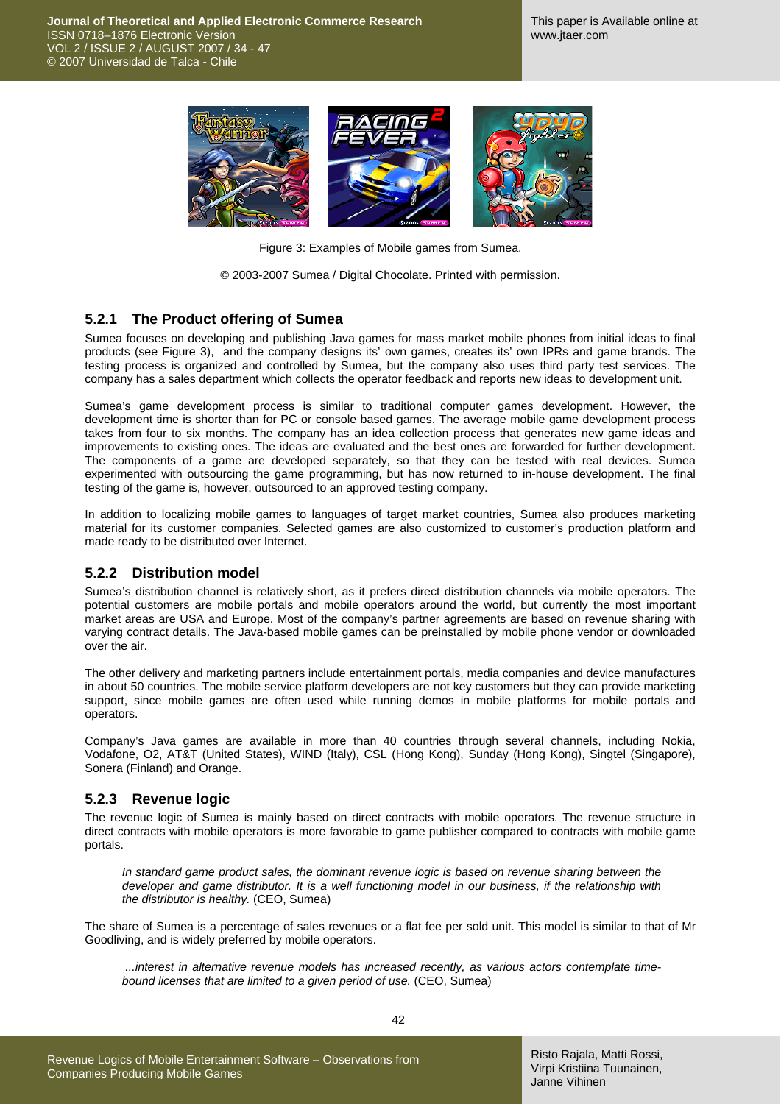

Figure 3: Examples of Mobile games from Sumea.

© 2003-2007 Sumea / Digital Chocolate. Printed with permission.

#### **5.2.1 The Product offering of Sumea**

Sumea focuses on developing and publishing Java games for mass market mobile phones from initial ideas to final products (see Figure 3), and the company designs its' own games, creates its' own IPRs and game brands. The testing process is organized and controlled by Sumea, but the company also uses third party test services. The company has a sales department which collects the operator feedback and reports new ideas to development unit.

Sumea's game development process is similar to traditional computer games development. However, the development time is shorter than for PC or console based games. The average mobile game development process takes from four to six months. The company has an idea collection process that generates new game ideas and improvements to existing ones. The ideas are evaluated and the best ones are forwarded for further development. The components of a game are developed separately, so that they can be tested with real devices. Sumea experimented with outsourcing the game programming, but has now returned to in-house development. The final testing of the game is, however, outsourced to an approved testing company.

In addition to localizing mobile games to languages of target market countries, Sumea also produces marketing material for its customer companies. Selected games are also customized to customer's production platform and made ready to be distributed over Internet.

#### **5.2.2 Distribution model**

Sumea's distribution channel is relatively short, as it prefers direct distribution channels via mobile operators. The potential customers are mobile portals and mobile operators around the world, but currently the most important market areas are USA and Europe. Most of the company's partner agreements are based on revenue sharing with varying contract details. The Java-based mobile games can be preinstalled by mobile phone vendor or downloaded over the air.

The other delivery and marketing partners include entertainment portals, media companies and device manufactures in about 50 countries. The mobile service platform developers are not key customers but they can provide marketing support, since mobile games are often used while running demos in mobile platforms for mobile portals and operators.

Company's Java games are available in more than 40 countries through several channels, including Nokia, Vodafone, O2, AT&T (United States), WIND (Italy), CSL (Hong Kong), Sunday (Hong Kong), Singtel (Singapore), Sonera (Finland) and Orange.

#### **5.2.3 Revenue logic**

The revenue logic of Sumea is mainly based on direct contracts with mobile operators. The revenue structure in direct contracts with mobile operators is more favorable to game publisher compared to contracts with mobile game portals.

*In standard game product sales, the dominant revenue logic is based on revenue sharing between the developer and game distributor. It is a well functioning model in our business, if the relationship with the distributor is healthy.* (CEO, Sumea)

The share of Sumea is a percentage of sales revenues or a flat fee per sold unit. This model is similar to that of Mr Goodliving, and is widely preferred by mobile operators.

 *...interest in alternative revenue models has increased recently, as various actors contemplate timebound licenses that are limited to a given period of use.* (CEO, Sumea)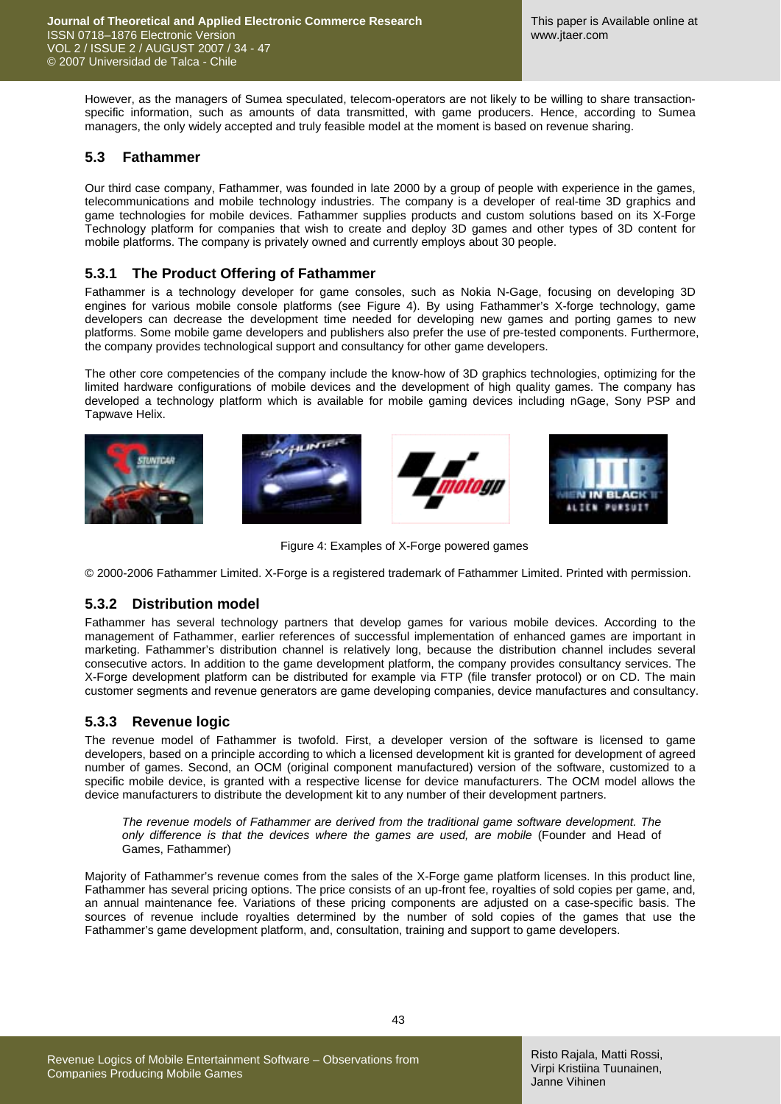However, as the managers of Sumea speculated, telecom-operators are not likely to be willing to share transactionspecific information, such as amounts of data transmitted, with game producers. Hence, according to Sumea managers, the only widely accepted and truly feasible model at the moment is based on revenue sharing.

### **5.3 Fathammer**

Our third case company, Fathammer, was founded in late 2000 by a group of people with experience in the games, telecommunications and mobile technology industries. The company is a developer of real-time 3D graphics and game technologies for mobile devices. Fathammer supplies products and custom solutions based on its X-Forge Technology platform for companies that wish to create and deploy 3D games and other types of 3D content for mobile platforms. The company is privately owned and currently employs about 30 people.

### **5.3.1 The Product Offering of Fathammer**

Fathammer is a technology developer for game consoles, such as Nokia N-Gage, focusing on developing 3D engines for various mobile console platforms (see Figure 4). By using Fathammer's X-forge technology, game developers can decrease the development time needed for developing new games and porting games to new platforms. Some mobile game developers and publishers also prefer the use of pre-tested components. Furthermore, the company provides technological support and consultancy for other game developers.

The other core competencies of the company include the know-how of 3D graphics technologies, optimizing for the limited hardware configurations of mobile devices and the development of high quality games. The company has developed a technology platform which is available for mobile gaming devices including nGage, Sony PSP and Tapwave Helix.



Figure 4: Examples of X-Forge powered games

© 2000-2006 Fathammer Limited. X-Forge is a registered trademark of Fathammer Limited. Printed with permission.

### **5.3.2 Distribution model**

Fathammer has several technology partners that develop games for various mobile devices. According to the management of Fathammer, earlier references of successful implementation of enhanced games are important in marketing. Fathammer's distribution channel is relatively long, because the distribution channel includes several consecutive actors. In addition to the game development platform, the company provides consultancy services. The X-Forge development platform can be distributed for example via FTP (file transfer protocol) or on CD. The main customer segments and revenue generators are game developing companies, device manufactures and consultancy.

### **5.3.3 Revenue logic**

The revenue model of Fathammer is twofold. First, a developer version of the software is licensed to game developers, based on a principle according to which a licensed development kit is granted for development of agreed number of games. Second, an OCM (original component manufactured) version of the software, customized to a specific mobile device, is granted with a respective license for device manufacturers. The OCM model allows the device manufacturers to distribute the development kit to any number of their development partners.

*The revenue models of Fathammer are derived from the traditional game software development. The only difference is that the devices where the games are used, are mobile* (Founder and Head of Games, Fathammer)

Majority of Fathammer's revenue comes from the sales of the X-Forge game platform licenses. In this product line, Fathammer has several pricing options. The price consists of an up-front fee, royalties of sold copies per game, and, an annual maintenance fee. Variations of these pricing components are adjusted on a case-specific basis. The sources of revenue include royalties determined by the number of sold copies of the games that use the Fathammer's game development platform, and, consultation, training and support to game developers.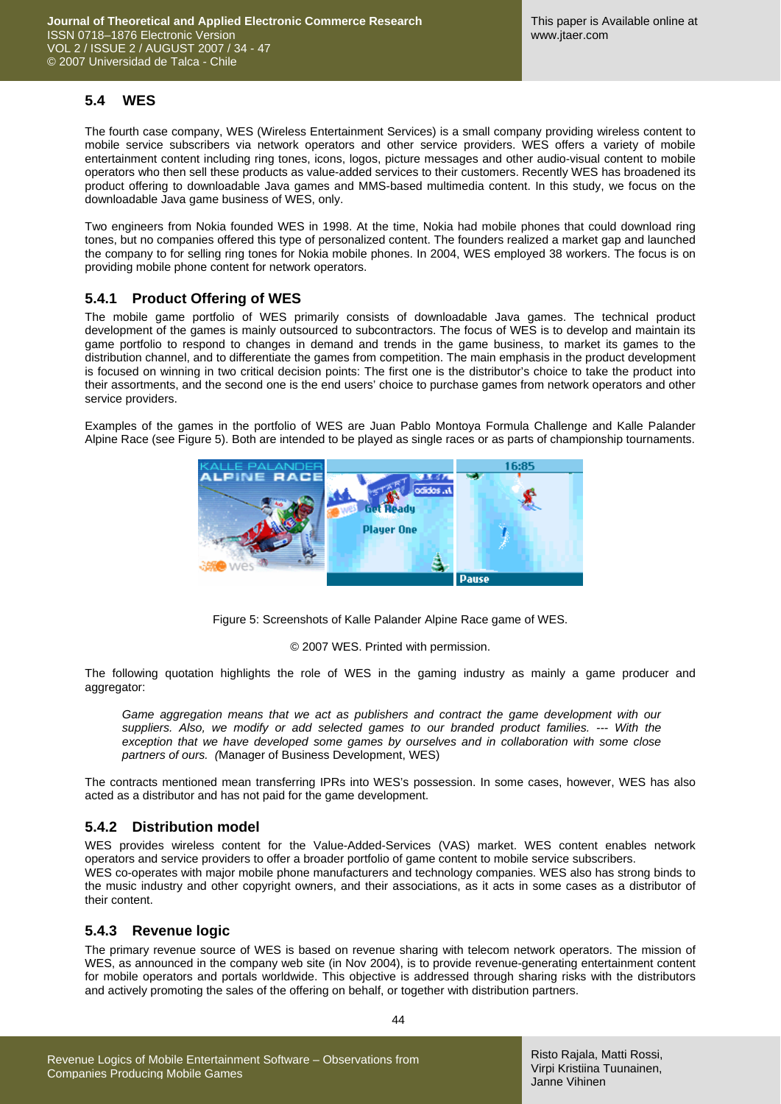### **5.4 WES**

The fourth case company, WES (Wireless Entertainment Services) is a small company providing wireless content to mobile service subscribers via network operators and other service providers. WES offers a variety of mobile entertainment content including ring tones, icons, logos, picture messages and other audio-visual content to mobile operators who then sell these products as value-added services to their customers. Recently WES has broadened its product offering to downloadable Java games and MMS-based multimedia content. In this study, we focus on the downloadable Java game business of WES, only.

Two engineers from Nokia founded WES in 1998. At the time, Nokia had mobile phones that could download ring tones, but no companies offered this type of personalized content. The founders realized a market gap and launched the company to for selling ring tones for Nokia mobile phones. In 2004, WES employed 38 workers. The focus is on providing mobile phone content for network operators.

### **5.4.1 Product Offering of WES**

The mobile game portfolio of WES primarily consists of downloadable Java games. The technical product development of the games is mainly outsourced to subcontractors. The focus of WES is to develop and maintain its game portfolio to respond to changes in demand and trends in the game business, to market its games to the distribution channel, and to differentiate the games from competition. The main emphasis in the product development is focused on winning in two critical decision points: The first one is the distributor's choice to take the product into their assortments, and the second one is the end users' choice to purchase games from network operators and other service providers.

Examples of the games in the portfolio of WES are Juan Pablo Montoya Formula Challenge and Kalle Palander Alpine Race (see Figure 5). Both are intended to be played as single races or as parts of championship tournaments.



Figure 5: Screenshots of Kalle Palander Alpine Race game of WES.

#### © 2007 WES. Printed with permission.

The following quotation highlights the role of WES in the gaming industry as mainly a game producer and aggregator:

Game aggregation means that we act as publishers and contract the game development with our *suppliers. Also, we modify or add selected games to our branded product families. --- With the exception that we have developed some games by ourselves and in collaboration with some close partners of ours. (*Manager of Business Development, WES)

The contracts mentioned mean transferring IPRs into WES's possession. In some cases, however, WES has also acted as a distributor and has not paid for the game development.

#### **5.4.2 Distribution model**

WES provides wireless content for the Value-Added-Services (VAS) market. WES content enables network operators and service providers to offer a broader portfolio of game content to mobile service subscribers. WES co-operates with major mobile phone manufacturers and technology companies. WES also has strong binds to the music industry and other copyright owners, and their associations, as it acts in some cases as a distributor of their content.

#### **5.4.3 Revenue logic**

The primary revenue source of WES is based on revenue sharing with telecom network operators. The mission of WES, as announced in the company web site (in Nov 2004), is to provide revenue-generating entertainment content for mobile operators and portals worldwide. This objective is addressed through sharing risks with the distributors and actively promoting the sales of the offering on behalf, or together with distribution partners.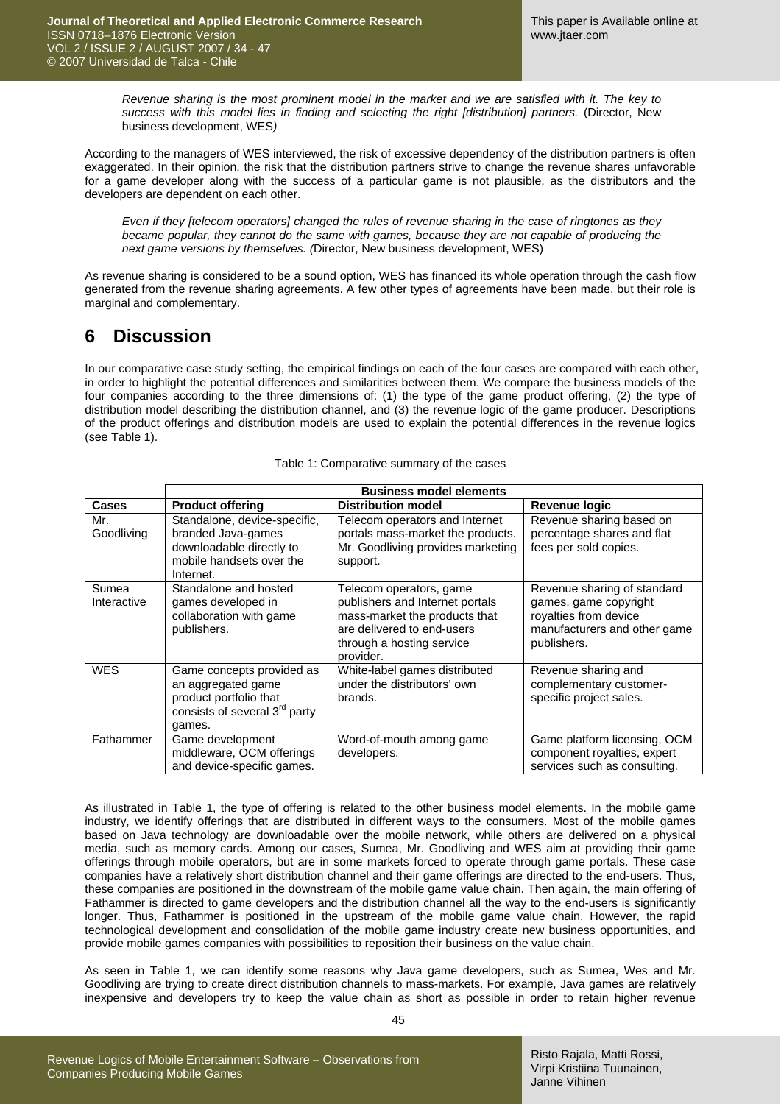*Revenue sharing is the most prominent model in the market and we are satisfied with it. The key to success with this model lies in finding and selecting the right [distribution] partners.* (Director, New business development, WES*)* 

According to the managers of WES interviewed, the risk of excessive dependency of the distribution partners is often exaggerated. In their opinion, the risk that the distribution partners strive to change the revenue shares unfavorable for a game developer along with the success of a particular game is not plausible, as the distributors and the developers are dependent on each other.

*Even if they [telecom operators] changed the rules of revenue sharing in the case of ringtones as they became popular, they cannot do the same with games, because they are not capable of producing the next game versions by themselves. (*Director, New business development, WES)

As revenue sharing is considered to be a sound option, WES has financed its whole operation through the cash flow generated from the revenue sharing agreements. A few other types of agreements have been made, but their role is marginal and complementary.

## **6 Discussion**

In our comparative case study setting, the empirical findings on each of the four cases are compared with each other, in order to highlight the potential differences and similarities between them. We compare the business models of the four companies according to the three dimensions of: (1) the type of the game product offering, (2) the type of distribution model describing the distribution channel, and (3) the revenue logic of the game producer. Descriptions of the product offerings and distribution models are used to explain the potential differences in the revenue logics (see Table 1).

|                      | <b>Business model elements</b>                                                                                                   |                                                                                                                                                                     |                                                                                                                              |
|----------------------|----------------------------------------------------------------------------------------------------------------------------------|---------------------------------------------------------------------------------------------------------------------------------------------------------------------|------------------------------------------------------------------------------------------------------------------------------|
| <b>Cases</b>         | <b>Product offering</b>                                                                                                          | <b>Distribution model</b>                                                                                                                                           | <b>Revenue logic</b>                                                                                                         |
| Mr.<br>Goodliving    | Standalone, device-specific,<br>branded Java-games<br>downloadable directly to<br>mobile handsets over the<br>Internet.          | Telecom operators and Internet<br>portals mass-market the products.<br>Mr. Goodliving provides marketing<br>support.                                                | Revenue sharing based on<br>percentage shares and flat<br>fees per sold copies.                                              |
| Sumea<br>Interactive | Standalone and hosted<br>games developed in<br>collaboration with game<br>publishers.                                            | Telecom operators, game<br>publishers and Internet portals<br>mass-market the products that<br>are delivered to end-users<br>through a hosting service<br>provider. | Revenue sharing of standard<br>games, game copyright<br>royalties from device<br>manufacturers and other game<br>publishers. |
| <b>WES</b>           | Game concepts provided as<br>an aggregated game<br>product portfolio that<br>consists of several 3 <sup>rd</sup> party<br>games. | White-label games distributed<br>under the distributors' own<br>brands.                                                                                             | Revenue sharing and<br>complementary customer-<br>specific project sales.                                                    |
| Fathammer            | Game development<br>middleware, OCM offerings<br>and device-specific games.                                                      | Word-of-mouth among game<br>developers.                                                                                                                             | Game platform licensing, OCM<br>component royalties, expert<br>services such as consulting.                                  |

#### Table 1: Comparative summary of the cases

As illustrated in Table 1, the type of offering is related to the other business model elements. In the mobile game industry, we identify offerings that are distributed in different ways to the consumers. Most of the mobile games based on Java technology are downloadable over the mobile network, while others are delivered on a physical media, such as memory cards. Among our cases, Sumea, Mr. Goodliving and WES aim at providing their game offerings through mobile operators, but are in some markets forced to operate through game portals. These case companies have a relatively short distribution channel and their game offerings are directed to the end-users. Thus, these companies are positioned in the downstream of the mobile game value chain. Then again, the main offering of Fathammer is directed to game developers and the distribution channel all the way to the end-users is significantly longer. Thus, Fathammer is positioned in the upstream of the mobile game value chain. However, the rapid technological development and consolidation of the mobile game industry create new business opportunities, and provide mobile games companies with possibilities to reposition their business on the value chain.

As seen in Table 1, we can identify some reasons why Java game developers, such as Sumea, Wes and Mr. Goodliving are trying to create direct distribution channels to mass-markets. For example, Java games are relatively inexpensive and developers try to keep the value chain as short as possible in order to retain higher revenue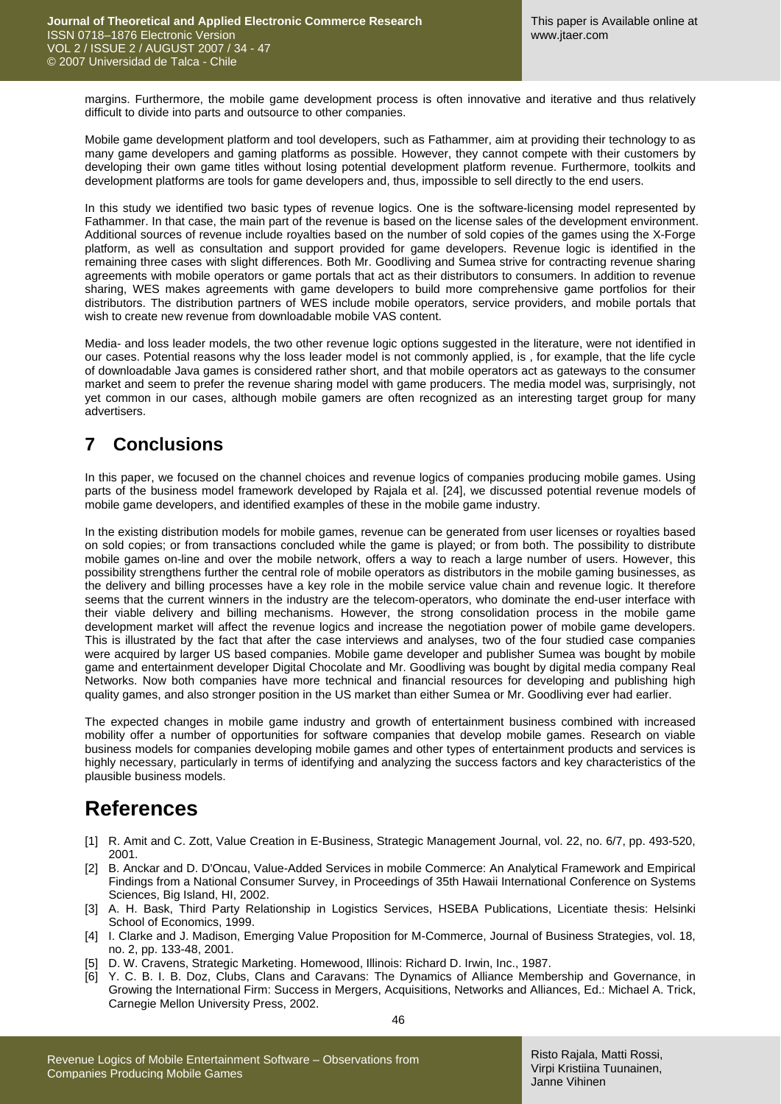margins. Furthermore, the mobile game development process is often innovative and iterative and thus relatively difficult to divide into parts and outsource to other companies.

Mobile game development platform and tool developers, such as Fathammer, aim at providing their technology to as many game developers and gaming platforms as possible. However, they cannot compete with their customers by developing their own game titles without losing potential development platform revenue. Furthermore, toolkits and development platforms are tools for game developers and, thus, impossible to sell directly to the end users.

In this study we identified two basic types of revenue logics. One is the software-licensing model represented by Fathammer. In that case, the main part of the revenue is based on the license sales of the development environment. Additional sources of revenue include royalties based on the number of sold copies of the games using the X-Forge platform, as well as consultation and support provided for game developers. Revenue logic is identified in the remaining three cases with slight differences. Both Mr. Goodliving and Sumea strive for contracting revenue sharing agreements with mobile operators or game portals that act as their distributors to consumers. In addition to revenue sharing, WES makes agreements with game developers to build more comprehensive game portfolios for their distributors. The distribution partners of WES include mobile operators, service providers, and mobile portals that wish to create new revenue from downloadable mobile VAS content.

Media- and loss leader models, the two other revenue logic options suggested in the literature, were not identified in our cases. Potential reasons why the loss leader model is not commonly applied, is , for example, that the life cycle of downloadable Java games is considered rather short, and that mobile operators act as gateways to the consumer market and seem to prefer the revenue sharing model with game producers. The media model was, surprisingly, not yet common in our cases, although mobile gamers are often recognized as an interesting target group for many advertisers.

## **7 Conclusions**

In this paper, we focused on the channel choices and revenue logics of companies producing mobile games. Using parts of the business model framework developed by Rajala et al. [24], we discussed potential revenue models of mobile game developers, and identified examples of these in the mobile game industry.

In the existing distribution models for mobile games, revenue can be generated from user licenses or royalties based on sold copies; or from transactions concluded while the game is played; or from both. The possibility to distribute mobile games on-line and over the mobile network, offers a way to reach a large number of users. However, this possibility strengthens further the central role of mobile operators as distributors in the mobile gaming businesses, as the delivery and billing processes have a key role in the mobile service value chain and revenue logic. It therefore seems that the current winners in the industry are the telecom-operators, who dominate the end-user interface with their viable delivery and billing mechanisms. However, the strong consolidation process in the mobile game development market will affect the revenue logics and increase the negotiation power of mobile game developers. This is illustrated by the fact that after the case interviews and analyses, two of the four studied case companies were acquired by larger US based companies. Mobile game developer and publisher Sumea was bought by mobile game and entertainment developer Digital Chocolate and Mr. Goodliving was bought by digital media company Real Networks. Now both companies have more technical and financial resources for developing and publishing high quality games, and also stronger position in the US market than either Sumea or Mr. Goodliving ever had earlier.

The expected changes in mobile game industry and growth of entertainment business combined with increased mobility offer a number of opportunities for software companies that develop mobile games. Research on viable business models for companies developing mobile games and other types of entertainment products and services is highly necessary, particularly in terms of identifying and analyzing the success factors and key characteristics of the plausible business models.

# **References**

- [1] R. Amit and C. Zott, Value Creation in E-Business, Strategic Management Journal, vol. 22, no. 6/7, pp. 493-520, 2001.
- [2] B. Anckar and D. D'Oncau, Value-Added Services in mobile Commerce: An Analytical Framework and Empirical Findings from a National Consumer Survey, in Proceedings of 35th Hawaii International Conference on Systems Sciences, Big Island, HI, 2002.
- [3] A. H. Bask, Third Party Relationship in Logistics Services, HSEBA Publications, Licentiate thesis: Helsinki School of Economics, 1999.
- [4] I. Clarke and J. Madison, Emerging Value Proposition for M-Commerce, Journal of Business Strategies, vol. 18, no. 2, pp. 133-48, 2001.
- [5] D. W. Cravens, Strategic Marketing. Homewood, Illinois: Richard D. Irwin, Inc., 1987.
- [6] Y. C. B. I. B. Doz, Clubs, Clans and Caravans: The Dynamics of Alliance Membership and Governance, in Growing the International Firm: Success in Mergers, Acquisitions, Networks and Alliances, Ed.: Michael A. Trick, Carnegie Mellon University Press, 2002.